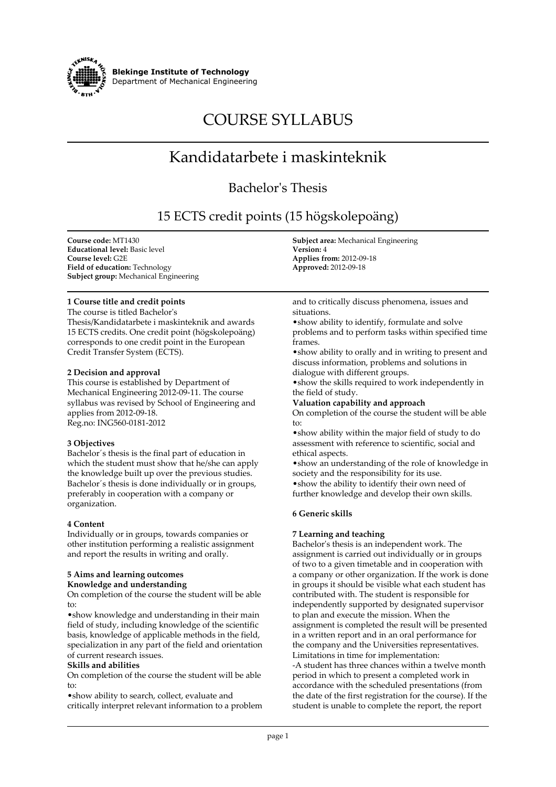

**Blekinge Institute of Technology Department of Mechanical Engineering**

# **COURSE SYLLABUS**

# **Kandidatarbete i maskinteknik**

# **Bachelor's Thesis**

# **15 ECTS credit points (15 högskolepoäng)**

**Course code: MT1430 Educational level: Basic level Course level: G2E Field of education: Technology Subject group: Mechanical Engineering**

# **1 Course title and credit points**

**The course is titled Bachelor's Thesis/Kandidatarbete i maskinteknik and awards 15 ECTS credits. One credit point (högskolepoäng) corresponds to one credit point in the European Credit Transfer System (ECTS).**

#### **2 Decision and approval**

**This course is established by Department of Mechanical Engineering 2012-09-11. The course syllabus was revised by School of Engineering and applies from 2012-09-18. Reg.no: ING560-0181-2012**

# **3 Objectives**

**Bachelor´s thesis is the final part of education in which the student must show that he/she can apply the knowledge built up over the previous studies. Bachelor´s thesis is done individually or in groups, preferably in cooperation with a company or organization.**

# **4 Content**

**Individually or in groups, towards companies or other institution performing a realistic assignment and report the results in writing and orally.**

# **5 Aims and learning outcomes Knowledge and understanding**

**On completion of the course the student will be able to:**

**•show knowledge and understanding in their main field of study, including knowledge of the scientific basis, knowledge of applicable methods in the field, specialization in any part of the field and orientation of current research issues.**

# **Skills and abilities**

**On completion of the course the student will be able to:**

**•show ability to search, collect, evaluate and critically interpret relevant information to a problem** **Subject area: Mechanical Engineering Version: 4 Applies from: 2012-09-18 Approved: 2012-09-18**

**and to critically discuss phenomena, issues and situations.**

**•show ability to identify, formulate and solve problems and to perform tasks within specified time frames.**

**•show ability to orally and in writing to present and discuss information, problems and solutions in dialogue with different groups.**

**•show the skills required to work independently in the field of study.**

#### **Valuation capability and approach**

**On completion of the course the student will be able to:**

**•show ability within the major field of study to do assessment with reference to scientific, social and ethical aspects.**

**•show an understanding of the role of knowledge in society and the responsibility for its use. •show the ability to identify their own need of further knowledge and develop their own skills.**

# **6 Generic skills**

# **7 Learning and teaching**

**Bachelor's thesis is an independent work. The assignment is carried out individually or in groups of two to a given timetable and in cooperation with a company or other organization. If the work is done in groups it should be visible what each student has contributed with. The student is responsible for independently supported by designated supervisor to plan and execute the mission. When the assignment is completed the result will be presented in a written report and in an oral performance for the company and the Universities representatives. Limitations in time for implementation: -A student has three chances within a twelve month period in which to present a completed work in accordance with the scheduled presentations (from the date of the first registration for the course). If the student is unable to complete the report, the report**